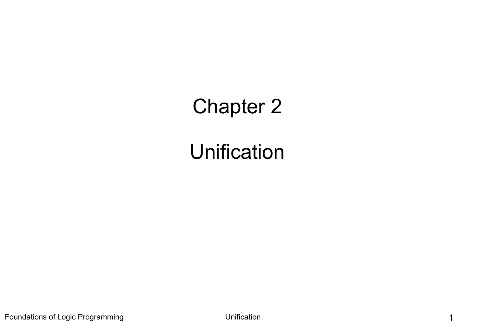# Chapter 2

# Unification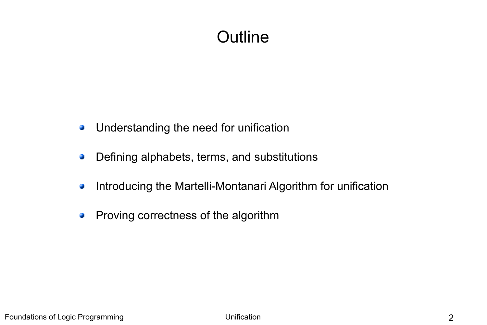# **Outline**

- Understanding the need for unification  $\mathcal{L}$
- Defining alphabets, terms, and substitutions  $\mathcal{L}$
- Introducing the Martelli-Montanari Algorithm for unification  $\mathcal{L}$
- Proving correctness of the algorithm $\mathcal{L}$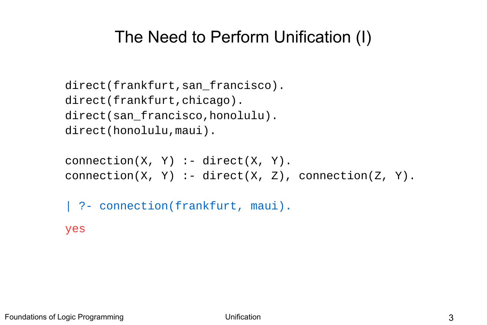### The Need to Perform Unification (I)

```
direct(frankfurt,san_francisco).
direct(frankfurt, chicago).
direct(san_francisco,honolulu).
direct(honolulu,maui).
```

```
connection(X, Y) :- direct(X, Y).
connection(X, Y) :- direct(X, Z), connection(Z, Y).
```

```
| ?- connection(frankfurt, maui).
```
yes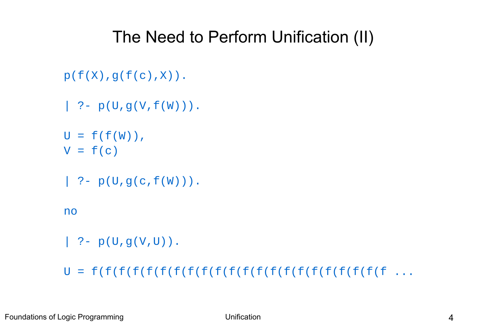### The Need to Perform Unification (II)

```
p(f(X),q(f(c),X)).
| ? - p(U, q(V, f(W))).
U = f(f(W)),V = f(c)| ? - p(U, g(c, f(W))).
no
| ? - p(U, q(V, U)).
```
U = f(f(f(f(f(f(f(f(f(f(f(f(f(f(f(f(f(f(f(f(f(f ...

Foundations of Logic Programming and a set of the Unification 4 and 2008 1 and 2008 1 and 2008 1 and 2008 1 and 2008 1 and 2008 1 and 2008 1 and 2008 1 and 2008 1 and 2008 1 and 2008 1 and 2008 1 and 2008 1 and 2008 1 and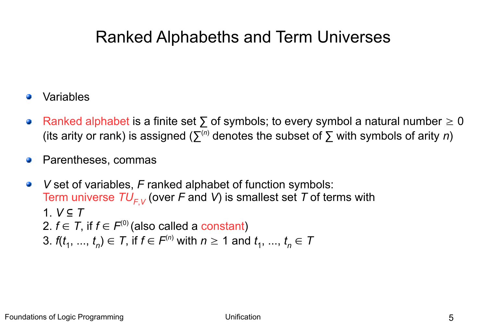### Ranked Alphabeths and Term Universes

- Variables
- Ranked alphabet is a finite set  $\Sigma$  of symbols; to every symbol a natural number  $\geq 0$ G (its arity or rank) is assigned ( $\Sigma^{(n)}$  denotes the subset of  $\Sigma$  with symbols of arity *n*)
- Parentheses, commas Q.
- *V* set of variables, *F* ranked alphabet of function symbols:  $\bullet$ Term universe *TUF*,*<sup>V</sup>* (over *F* and *V*) is smallest set *T* of terms with 1. *V* ⊆ *T* 2.  $f \in$   $\mathcal{T},$  if  $f \in \mathcal{F}^{(0)}$  (also called a constant) 3.  $f(t_1, ..., t_n) \in T$ , if  $f \in F^{(n)}$  with  $n \ge 1$  and  $t_1, ..., t_n \in T$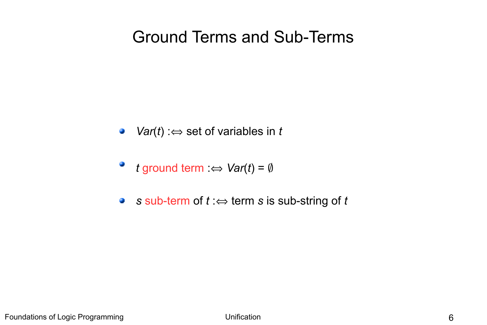### Ground Terms and Sub-Terms

- *Var(t)* : $\Leftrightarrow$  set of variables in *t*
- *t* ground term  $:\Leftrightarrow \text{Var}(t) = \emptyset$
- **s** sub-term of  $t : \Leftrightarrow$  term *s* is sub-string of *t*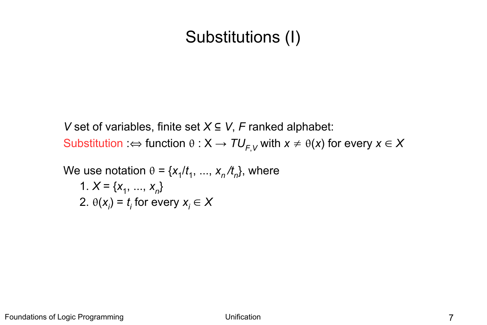# Substitutions (I)

*V* set of variables, finite set *X* ⊆ *V*, *F* ranked alphabet: Substitution  $:\Leftrightarrow$  function  $\theta : X \to \mathcal{T}U_{\digamma,V}$  with  $x\neq \theta(x)$  for every  $x\in X$ 

We use notation 
$$
\theta = \{x_1/t_1, \ldots, x_n/t_n\}
$$
, where 1.  $X = \{x_1, \ldots, x_n\}$  2.  $\theta(x_i) = t_i$  for every  $x_i \in X$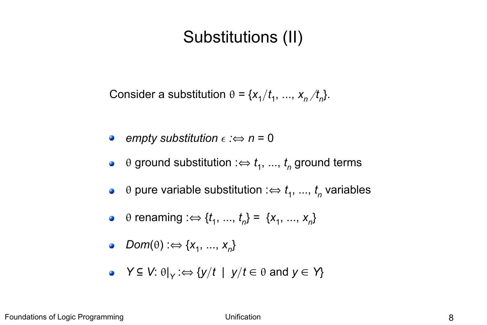### Substitutions (II)

Consider a substitution  $\theta = \{x_1/t_1, ..., x_n/t_n\}.$ 

- **e** empty substitution  $\epsilon := n = 0$
- $\theta$  ground substitution : $\Leftrightarrow t_{1},...,t_{n}$  ground terms
- $\theta$  pure variable substitution : $\Leftrightarrow t_1$ , ...,  $t_n$  variables
- $\theta$  renaming : $\Leftrightarrow$  {*t*<sub>1</sub>, ..., *t*<sub>*n*</sub>} = {*x*<sub>1</sub>, ..., *x*<sub>*n*</sub>}
- $Dom(\theta) : \Leftrightarrow \{x_1, ..., x_n\}$
- *Y* ⊆ *V*:  $\theta|_Y$  :⇔ {*y/t* | *y/t* ∈  $\theta$  and *y* ∈ *Y*}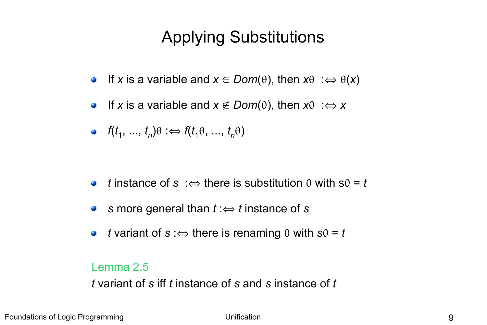# Applying Substitutions

- If *x* is a variable and  $x \in Dom(\theta)$ , then  $x\theta : \Leftrightarrow \theta(x)$  $\mathcal{L}$
- If *x* is a variable and  $x \notin Dom(\theta)$ , then  $x\theta : \Leftrightarrow x$  $\mathcal{L}$
- $f(t_1, ..., t_n)\theta \implies f(t_1\theta, ..., t_n\theta)$

- *t* instance of  $s : \Leftrightarrow$  there is substitution  $\theta$  with  $s\theta = t$  $\bullet$
- *s* more general than  $t \Rightarrow t$  instance of *s*  $\mathcal{L}$
- *t* variant of  $s : \Leftrightarrow$  there is renaming  $\theta$  with  $s\theta = t$  $\bullet$

#### Lemma 2.5

*t* variant of *s* iff *t* instance of *s* and *s* instance of *t*

Foundations of Logic Programming and a set of the Unification Control of Logic Programming and American Control of the Security of the Security of the Security of the Security of the Security of the Security of the Securit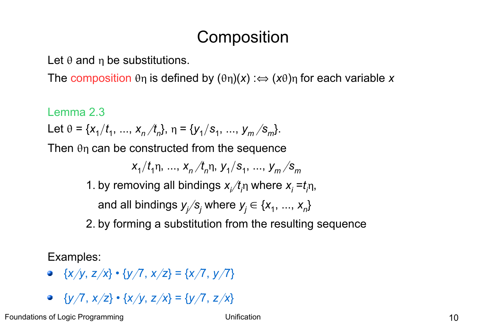## **Composition**

Let  $\theta$  and  $\eta$  be substitutions.

The composition  $\theta$ η is defined by  $(\theta$ η $)(x)$  : $\Leftrightarrow$   $(x\theta)$ η for each variable *x* 

Lemma 2.3 Let  $\theta = \{x_1/t_1, \ldots, x_n/t_n\}, \eta = \{y_1/s_1, \ldots, y_m/s_m\}.$ Then  $\theta$ n can be constructed from the sequence  $x_1/t_1$ n, ...,  $x_n/t_n$ n,  $y_1/s_1$ , ...,  $y_m/s_m$ 1. by removing all bindings  $x_i/t_i$  where  $x_i = t_i$  n, and all bindings  $y_j^{\prime}$   $\varsigma_j^{\prime}$  where  $y_j^{\prime}$   $\in$   $\{x_1^{\prime},$   $...,$   $x_n^{\prime}\}$ 2. by forming a substitution from the resulting sequence

Examples:

- $\{x/y, z/x\}$   $\{y/7, x/z\} = \{x/7, y/7\}$
- $\{y/7, x/z\}$   $\{x/y, z/x\}$  =  $\{y/7, z/x\}$

Foundations of Logic Programming and a set of the Unification Contraction and the Unification of Logic Programming  $10$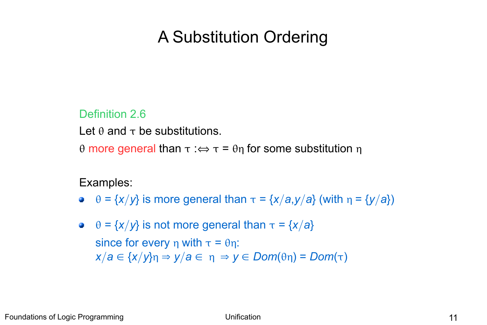# A Substitution Ordering

#### Definition 2.6

Let  $\theta$  and  $\tau$  be substitutions.

 $\theta$  more general than  $\tau : \Leftrightarrow \tau = \theta \eta$  for some substitution  $\eta$ 

#### Examples:

 $\theta = \{x/y\}$  is more general than  $\tau = \{x/a, y/a\}$  (with  $\eta = \{y/a\}$ )

 $\theta = \{x/y\}$  is not more general than  $\tau = \{x/a\}$ since for every  $\eta$  with  $\tau = \theta \eta$ :  $x/a \in \{x/y\}$ n  $\Rightarrow y/a \in \eta \Rightarrow y \in Dom(\theta \eta) = Dom(\tau)$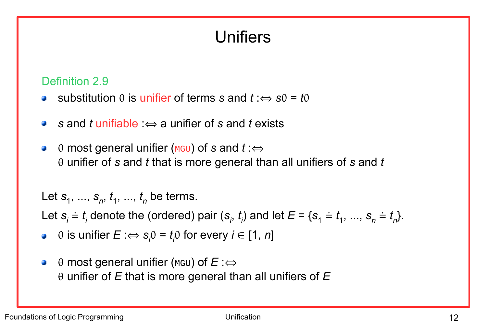# Unifiers

#### Definition 2.9

- substitution  $\theta$  is unifier of terms *s* and  $t : \Leftrightarrow s\theta = t\theta$ **Ca**
- *s* and *t* unifiable : $\Leftrightarrow$  a unifier of *s* and *t* exists **Cold**
- $\theta$  most general unifier (MGU) of *s* and *t* : $\Leftrightarrow$  $\bullet$ unifier of *s* and *t* that is more general than all unifiers of *s* and *t*

Let  $s_1, ..., s_n, t_1, ..., t_n$  be terms.

Let  $s_i \doteq t_i$  denote the (ordered) pair  $(s_i, t_i)$  and let  $E = \{s_1 \doteq t_1, ..., s_n \doteq t_n\}$ .

- $\theta$  is unifier  $E : \Leftrightarrow s_j \theta = t_j \theta$  for every  $i \in [1, n]$  $\bullet$
- $\theta$  most general unifier (MGU) of  $E \rightleftharpoons$  $\mathbf{G}$ unifier of *E* that is more general than all unifiers of *E*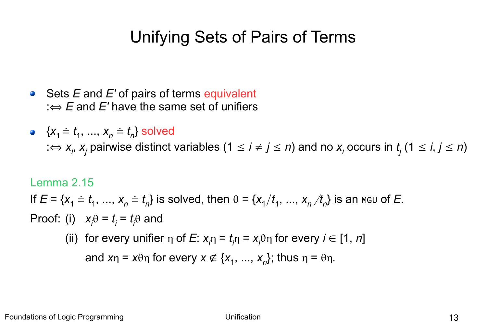### Unifying Sets of Pairs of Terms

- Sets *E* and *E'* of pairs of terms equivalent  $\mathcal{L}$  $\Rightarrow$  *E* and *E'* have the same set of unifiers
- $\{x_1 \doteq t_1, \dots, x_n \doteq t_n\}$  solved : $\iff$  *x<sub>i</sub>*, *x<sub>j</sub>* pairwise distinct variables (1  $\leq$  *i*  $\neq$  *j*  $\leq$  *n*) and no *x<sub>i</sub>* occurs in *t<sub>j</sub>* (1  $\leq$  *i*, *j*  $\leq$  *n*)

#### Lemma 2.15

If 
$$
E = \{x_1 \doteq t_1, ..., x_n \doteq t_n\}
$$
 is solved, then  $\theta = \{x_1/t_1, ..., x_n/t_n\}$  is an *mgu* of *E*.  
Proof: (i)  $x_i \theta = t_i = t_i \theta$  and

(ii) for every unifier  $\eta$  of *E*:  $x_j \eta = t_j \eta = x_j \theta \eta$  for every  $i \in [1, n]$ and  $x_{\eta} = x \theta_{\eta}$  for every  $x \notin \{x_1, ..., x_n\}$ ; thus  $\eta = \theta_{\eta}$ .

Foundations of Logic Programming and the Unification Contraction 13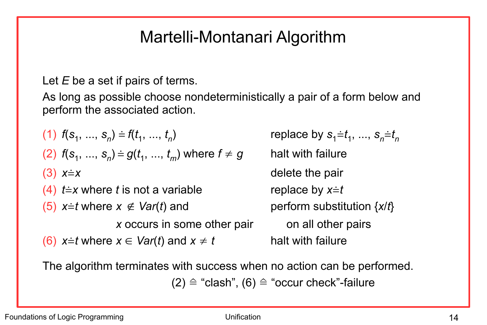### Martelli-Montanari Algorithm

Let *E* be a set if pairs of terms.

As long as possible choose nondeterministically a pair of a form below and perform the associated action.

(1)  $f(s_1, ..., s_n) \doteq f(t_1, ..., t_n)$ (2)  $f(s_1, ..., s_n) \doteq g(t_1, ..., t_m)$  where  $f \neq g$  halt with failure (3)  $x \neq x$  delete the pair (4)  $t \approx x$  where *t* is not a variable replace by  $x \approx t$  $(5)$  *x*=*t* where *x*  $\notin$  *Var*(*t*) and perform substitution {*x/t*} *x* occurs in some other pair on all other pairs (6)  $x \neq t$  where  $x \in \text{Var}(t)$  and  $x \neq t$  halt with failure

) replace by  $s_1 = t_1, ..., s_n = t_n$ 

The algorithm terminates with success when no action can be performed.  $(2) \triangleq$  "clash",  $(6) \triangleq$  "occur check"-failure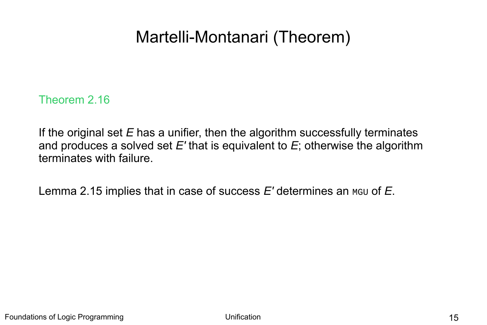### Martelli-Montanari (Theorem)

Theorem 2.16

If the original set *E* has a unifier, then the algorithm successfully terminates and produces a solved set *E'* that is equivalent to *E*; otherwise the algorithm terminates with failure.

Lemma 2.15 implies that in case of success E' determines an MGU of E.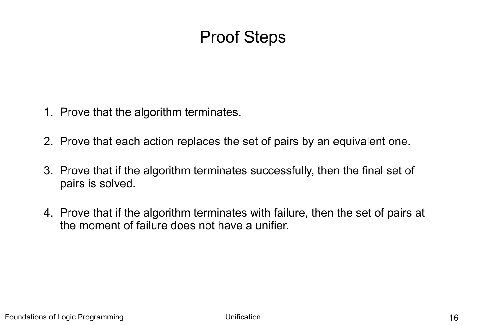# Proof Steps

- 1. Prove that the algorithm terminates.
- 2. Prove that each action replaces the set of pairs by an equivalent one.
- 3. Prove that if the algorithm terminates successfully, then the final set of pairs is solved.
- 4. Prove that if the algorithm terminates with failure, then the set of pairs at the moment of failure does not have a unifier.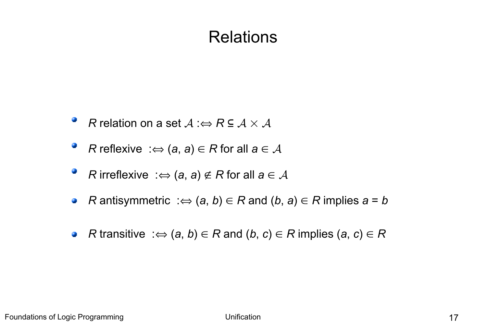### **Relations**

- **P** R relation on a set  $A : \Leftrightarrow R \subseteq A \times A$
- **P** R reflexive  $\Rightarrow$  (*a*, *a*)  $\in$  R for all  $a \in \mathcal{A}$
- $\mathbf{r}$ *R* irreflexive  $\Rightarrow$  (*a*, *a*)  $\notin$  *R* for all  $a \in \mathcal{A}$
- *R* antisymmetric :  $\Leftrightarrow$   $(a, b) \in R$  and  $(b, a) \in R$  implies  $a = b$
- *R* transitive  $\Rightarrow$  (*a*, *b*)  $\in$  *R* and (*b*, *c*)  $\in$  *R* implies (*a*, *c*)  $\in$  *R*  $\mathcal{L}$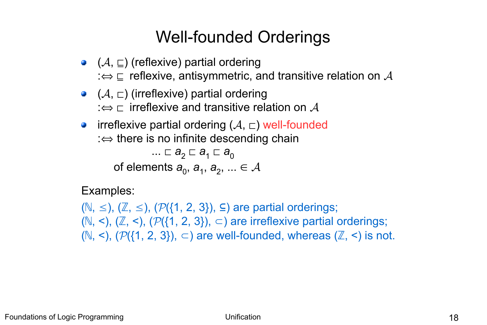# Well-founded Orderings

- $(A, \sqsubseteq)$  (reflexive) partial ordering : $\Leftrightarrow$   $\sqsubseteq$  reflexive, antisymmetric, and transitive relation on A
- $(A, \sqsubset)$  (irreflexive) partial ordering  $\Rightarrow$   $\vdash$  irreflexive and transitive relation on A
- irreflexive partial ordering  $(A, \sqsubset)$  well-founded : $\Leftrightarrow$  there is no infinite descending chain

$$
\dots \sqsubset a_2 \sqsubset a_1 \sqsubset a_0
$$
  
of elements  $a_0, a_1, a_2, \dots \in A$ 

Examples:

 $(N, \leq), (\mathbb{Z}, \leq), (\mathcal{P}(\{1, 2, 3\}), \subseteq)$  are partial orderings;  $(N, \leq), (\mathbb{Z}, \leq), (\mathcal{P}(\{1, 2, 3\}), \subset)$  are irreflexive partial orderings;  $(N, \leq), (\mathcal{P}(\{1, 2, 3\}), \subset)$  are well-founded, whereas  $(\mathbb{Z}, \leq)$  is not.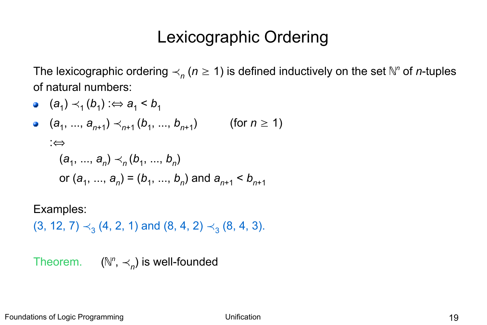### Lexicographic Ordering

The lexicographic ordering  $\prec_n$  ( $n \geq 1$ ) is defined inductively on the set  $\mathbb{N}^n$  of *n*-tuples of natural numbers:

• 
$$
(a_1) \prec_1 (b_1) : \Leftrightarrow a_1 < b_1
$$
  
\n•  $(a_1, ..., a_{n+1}) \prec_{n+1} (b_1, ..., b_{n+1})$  (for  $n \ge 1$ )  
\n $\\\Leftrightarrow$   
\n $(a_1, ..., a_n) \prec_n (b_1, ..., b_n)$   
\nor  $(a_1, ..., a_n) = (b_1, ..., b_n)$  and  $a_{n+1} < b_{n+1}$ 

Examples:

 $(3, 12, 7) \prec_3 (4, 2, 1)$  and  $(8, 4, 2) \prec_3 (8, 4, 3)$ .

Theorem.  $(\mathbb{N}^n, \prec_n)$  is well-founded

Foundations of Logic Programming and the Unification Contraction Contraction 19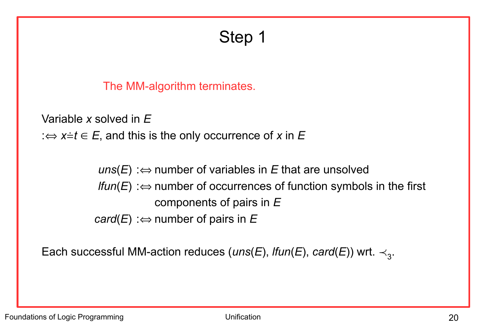The MM-algorithm terminates.

Variable *x* solved in *E* : $\Leftrightarrow$  *x*=*t*  $\in$  *E*, and this is the only occurrence of *x* in *E* 

> $uns(E)$ : $\Leftrightarrow$  number of variables in *E* that are unsolved *lfun(E)* : $\Leftrightarrow$  number of occurrences of function symbols in the first components of pairs in *E card*( $E$ ) : $\Leftrightarrow$  number of pairs in  $E$

Each successful MM-action reduces (*uns*(*E*), *lfun*(*E*), *card*(*E*)) wrt.  $\prec$ <sub>3</sub>.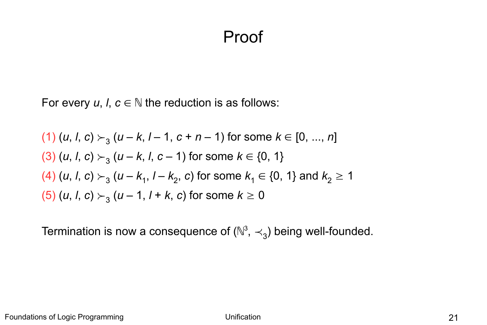### Proof

For every  $u, l, c \in \mathbb{N}$  the reduction is as follows:

(1) 
$$
(u, l, c) \succ_3 (u - k, l - 1, c + n - 1)
$$
 for some  $k \in [0, ..., n]$   
\n(3)  $(u, l, c) \succ_3 (u - k, l, c - 1)$  for some  $k \in \{0, 1\}$   
\n(4)  $(u, l, c) \succ_3 (u - k_1, l - k_2, c)$  for some  $k_1 \in \{0, 1\}$  and  $k_2 \ge 1$   
\n(5)  $(u, l, c) \succ_3 (u - 1, l + k, c)$  for some  $k \ge 0$ 

Termination is now a consequence of ( $\mathbb{N}^3$ ,  $\prec_3$ ) being well-founded.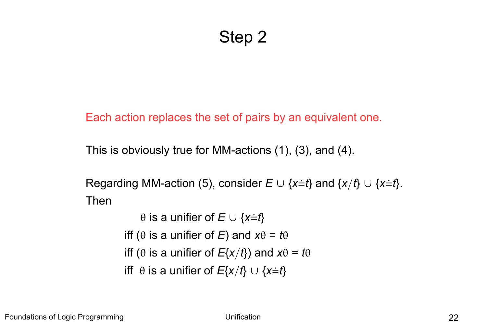Each action replaces the set of pairs by an equivalent one.

This is obviously true for MM-actions (1), (3), and (4).

Regarding MM-action (5), consider  $E \cup \{x = t\}$  and  $\{x/t\} \cup \{x = t\}$ . Then

> $\theta$  is a unifier of  $E \cup \{x = t\}$ iff ( $\theta$  is a unifier of *E*) and  $x\theta = t\theta$ iff ( $\theta$  is a unifier of  $E\{x/t\}$ ) and  $x\theta = t\theta$ iff  $\theta$  is a unifier of  $E\{x/t\} \cup \{x=t\}$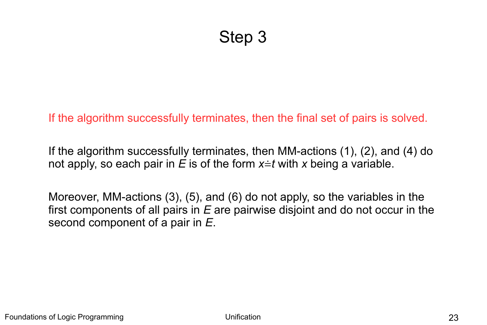If the algorithm successfully terminates, then the final set of pairs is solved.

If the algorithm successfully terminates, then MM-actions (1), (2), and (4) do not apply, so each pair in E is of the form  $x \neq t$  with x being a variable.

Moreover, MM-actions (3), (5), and (6) do not apply, so the variables in the first components of all pairs in *E* are pairwise disjoint and do not occur in the second component of a pair in *E*.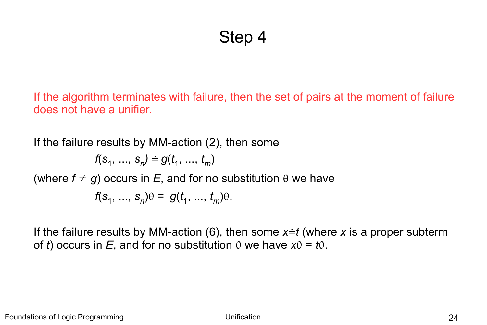If the algorithm terminates with failure, then the set of pairs at the moment of failure does not have a unifier.

If the failure results by MM-action (2), then some  $f(s_1, ..., s_n) \doteq g(t_1, ..., t_m)$ (where  $f \neq g$ ) occurs in *E*, and for no substitution  $\theta$  we have  $f(s_1, ..., s_n)\theta = g(t_1, ..., t_m)\theta$ .

If the failure results by MM-action (6), then some  $x \neq t$  (where x is a proper subterm of *t*) occurs in *E*, and for no substitution  $\theta$  we have  $x\theta = t\theta$ .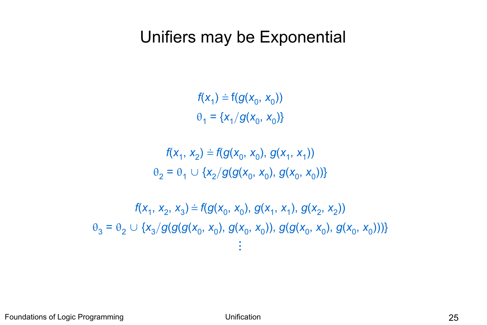### Unifiers may be Exponential

 $f(x_1) \doteq f(g(x_0, x_0))$  $\theta_1 = \{x_1/g(x_0, x_0)\}$ 

 $f(x_1, x_2) \doteq f(g(x_0, x_0), g(x_1, x_1))$  $\theta_2 = \theta_1 \cup \{x_2/g(g(x_0, x_0), g(x_0, x_0))\}$ 

 $f(x_1, x_2, x_3) \doteq f(g(x_0, x_0), g(x_1, x_1), g(x_2, x_2))$  $\theta_3 = \theta_2 \cup \{x_3/g(g(g(x_0, x_0), g(x_0, x_0)), g(g(x_0, x_0), g(x_0, x_0)))\}$ ⋮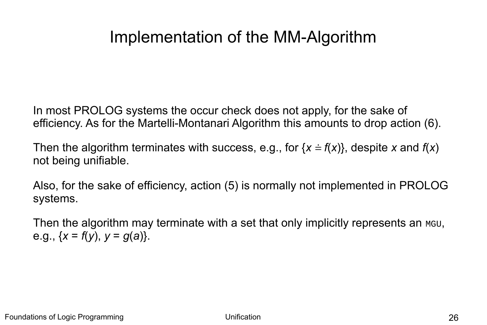### Implementation of the MM-Algorithm

In most PROLOG systems the occur check does not apply, for the sake of efficiency. As for the Martelli-Montanari Algorithm this amounts to drop action (6).

Then the algorithm terminates with success, e.g., for  $\{x = f(x)\}\)$ , despite *x* and  $f(x)$ not being unifiable.

Also, for the sake of efficiency, action (5) is normally not implemented in PROLOG systems.

Then the algorithm may terminate with a set that only implicitly represents an  $_{\text{MGU}}$ , e.g.,  $\{x = f(y), y = g(a)\}.$